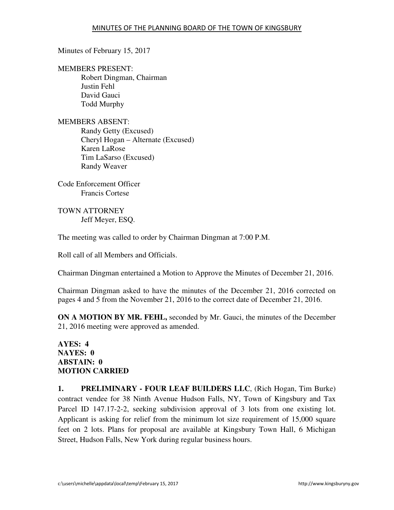Minutes of February 15, 2017

MEMBERS PRESENT:

Robert Dingman, Chairman Justin Fehl David Gauci Todd Murphy

MEMBERS ABSENT: Randy Getty (Excused) Cheryl Hogan – Alternate (Excused) Karen LaRose Tim LaSarso (Excused) Randy Weaver

Code Enforcement Officer Francis Cortese

TOWN ATTORNEY Jeff Meyer, ESQ.

The meeting was called to order by Chairman Dingman at 7:00 P.M.

Roll call of all Members and Officials.

Chairman Dingman entertained a Motion to Approve the Minutes of December 21, 2016.

Chairman Dingman asked to have the minutes of the December 21, 2016 corrected on pages 4 and 5 from the November 21, 2016 to the correct date of December 21, 2016.

**ON A MOTION BY MR. FEHL,** seconded by Mr. Gauci, the minutes of the December 21, 2016 meeting were approved as amended.

## **AYES: 4 NAYES: 0 ABSTAIN: 0 MOTION CARRIED**

**1. PRELIMINARY - FOUR LEAF BUILDERS LLC**, (Rich Hogan, Tim Burke) contract vendee for 38 Ninth Avenue Hudson Falls, NY, Town of Kingsbury and Tax Parcel ID 147.17-2-2, seeking subdivision approval of 3 lots from one existing lot. Applicant is asking for relief from the minimum lot size requirement of 15,000 square feet on 2 lots. Plans for proposal are available at Kingsbury Town Hall, 6 Michigan Street, Hudson Falls, New York during regular business hours.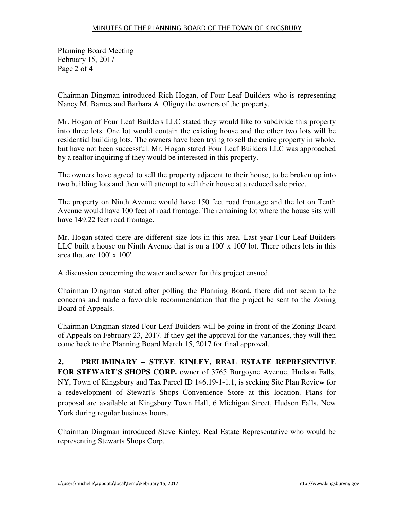Planning Board Meeting February 15, 2017 Page 2 of 4

Chairman Dingman introduced Rich Hogan, of Four Leaf Builders who is representing Nancy M. Barnes and Barbara A. Oligny the owners of the property.

Mr. Hogan of Four Leaf Builders LLC stated they would like to subdivide this property into three lots. One lot would contain the existing house and the other two lots will be residential building lots. The owners have been trying to sell the entire property in whole, but have not been successful. Mr. Hogan stated Four Leaf Builders LLC was approached by a realtor inquiring if they would be interested in this property.

The owners have agreed to sell the property adjacent to their house, to be broken up into two building lots and then will attempt to sell their house at a reduced sale price.

The property on Ninth Avenue would have 150 feet road frontage and the lot on Tenth Avenue would have 100 feet of road frontage. The remaining lot where the house sits will have 149.22 feet road frontage.

Mr. Hogan stated there are different size lots in this area. Last year Four Leaf Builders LLC built a house on Ninth Avenue that is on a 100' x 100' lot. There others lots in this area that are 100' x 100'.

A discussion concerning the water and sewer for this project ensued.

Chairman Dingman stated after polling the Planning Board, there did not seem to be concerns and made a favorable recommendation that the project be sent to the Zoning Board of Appeals.

Chairman Dingman stated Four Leaf Builders will be going in front of the Zoning Board of Appeals on February 23, 2017. If they get the approval for the variances, they will then come back to the Planning Board March 15, 2017 for final approval.

**2. PRELIMINARY – STEVE KINLEY, REAL ESTATE REPRESENTIVE FOR STEWART'S SHOPS CORP.** owner of 3765 Burgoyne Avenue, Hudson Falls, NY, Town of Kingsbury and Tax Parcel ID 146.19-1-1.1, is seeking Site Plan Review for a redevelopment of Stewart's Shops Convenience Store at this location. Plans for proposal are available at Kingsbury Town Hall, 6 Michigan Street, Hudson Falls, New York during regular business hours.

Chairman Dingman introduced Steve Kinley, Real Estate Representative who would be representing Stewarts Shops Corp.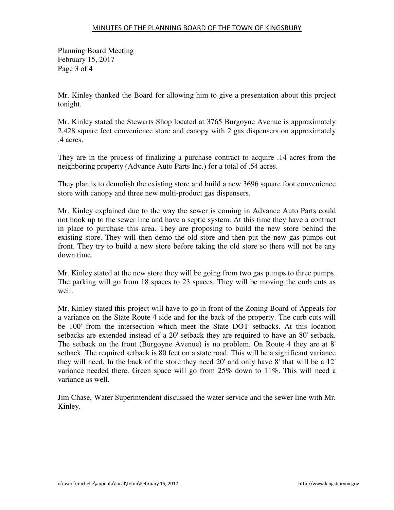Planning Board Meeting February 15, 2017 Page 3 of 4

Mr. Kinley thanked the Board for allowing him to give a presentation about this project tonight.

Mr. Kinley stated the Stewarts Shop located at 3765 Burgoyne Avenue is approximately 2,428 square feet convenience store and canopy with 2 gas dispensers on approximately .4 acres.

They are in the process of finalizing a purchase contract to acquire .14 acres from the neighboring property (Advance Auto Parts Inc.) for a total of .54 acres.

They plan is to demolish the existing store and build a new 3696 square foot convenience store with canopy and three new multi-product gas dispensers.

Mr. Kinley explained due to the way the sewer is coming in Advance Auto Parts could not hook up to the sewer line and have a septic system. At this time they have a contract in place to purchase this area. They are proposing to build the new store behind the existing store. They will then demo the old store and then put the new gas pumps out front. They try to build a new store before taking the old store so there will not be any down time.

Mr. Kinley stated at the new store they will be going from two gas pumps to three pumps. The parking will go from 18 spaces to 23 spaces. They will be moving the curb cuts as well.

Mr. Kinley stated this project will have to go in front of the Zoning Board of Appeals for a variance on the State Route 4 side and for the back of the property. The curb cuts will be 100' from the intersection which meet the State DOT setbacks. At this location setbacks are extended instead of a 20' setback they are required to have an 80' setback. The setback on the front (Burgoyne Avenue) is no problem. On Route 4 they are at 8' setback. The required setback is 80 feet on a state road. This will be a significant variance they will need. In the back of the store they need 20' and only have 8' that will be a 12' variance needed there. Green space will go from 25% down to 11%. This will need a variance as well.

Jim Chase, Water Superintendent discussed the water service and the sewer line with Mr. Kinley.